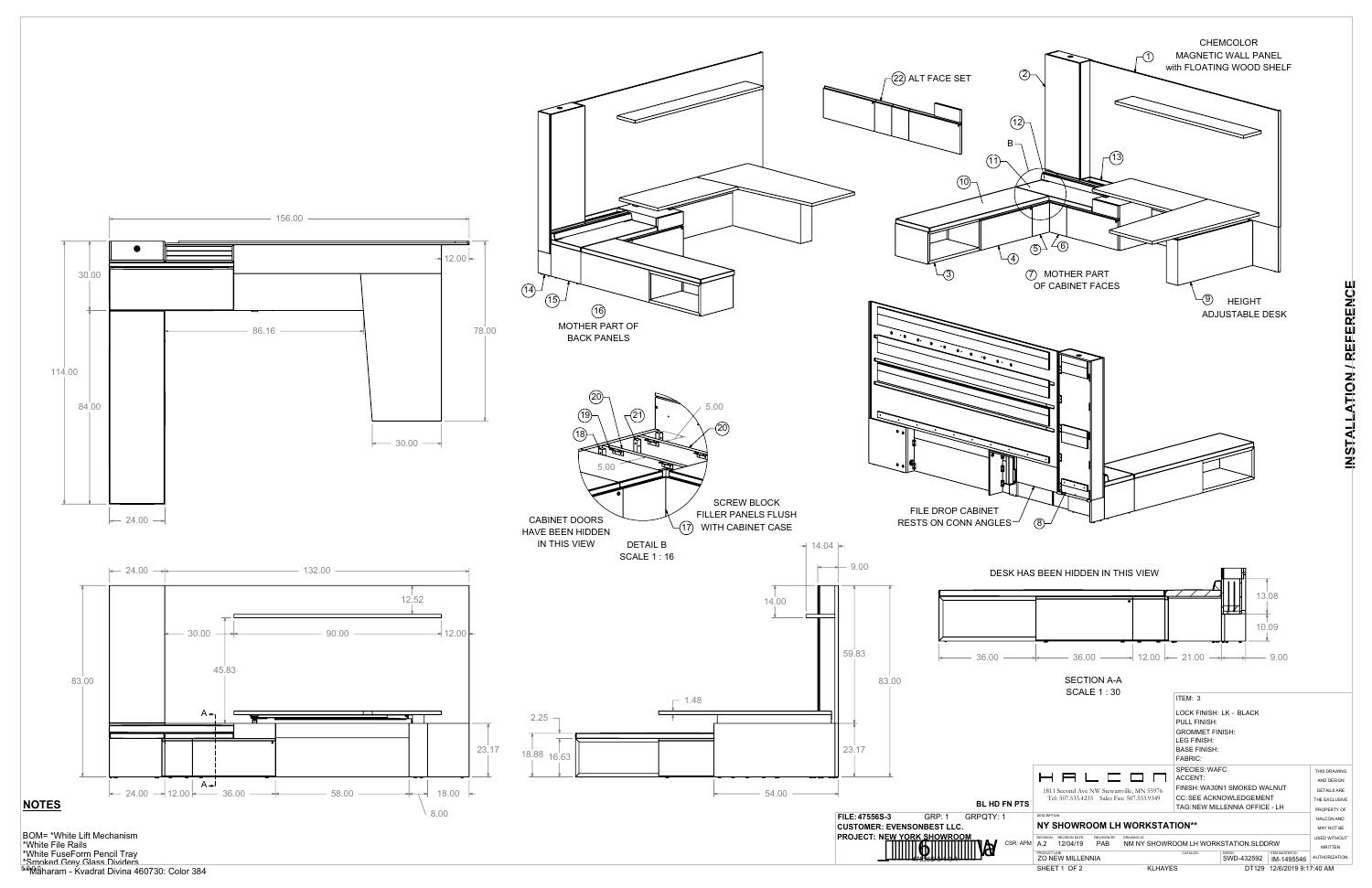